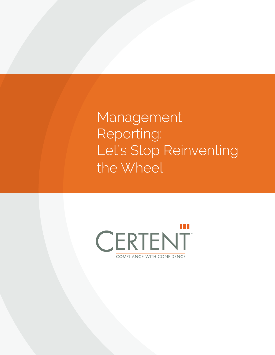Management Reporting: Let's Stop Reinventing the Wheel

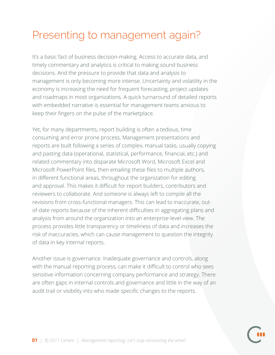## Presenting to management again?

It's a basic fact of business decision-making. Access to accurate data, and timely commentary and analytics is critical to making sound business decisions. And the pressure to provide that data and analysis to management is only becoming more intense. Uncertainty and volatility in the economy is increasing the need for frequent forecasting, project updates and roadmaps in most organizations. A quick turnaround of detailed reports with embedded narrative is essential for management teams anxious to keep their fingers on the pulse of the marketplace.

Yet, for many departments, report building is often a tedious, time consuming and error prone process. Management presentations and reports are built following a series of complex, manual tasks, usually copying and pasting data (operational, statistical, performance, financial, etc.) and related commentary into disparate Microsoft Word, Microsoft Excel and Microsoft PowerPoint files, then emailing these files to multiple authors, in different functional areas, throughout the organization for editing and approval. This makes it difficult for report builders, contributors and reviewers to collaborate. And someone is always left to compile all the revisions from cross-functional managers. This can lead to inaccurate, outof-date reports because of the inherent difficulties in aggregating plans and analysis from around the organization into an enterprise-level view. The process provides little transparency or timeliness of data and increases the risk of inaccuracies, which can cause management to question the integrity of data in key internal reports.

Another issue is governance. Inadequate governance and controls, along with the manual reporting process, can make it difficult to control who sees sensitive information concerning company performance and strategy. There are often gaps in internal controls and governance and little in the way of an audit trail or visibility into who made specific changes to the reports.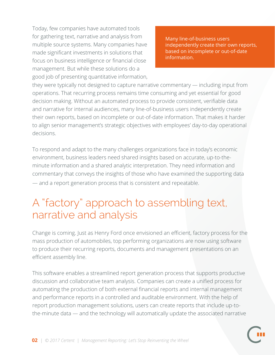Today, few companies have automated tools for gathering text, narrative and analysis from multiple source systems. Many companies have made significant investments in solutions that focus on business intelligence or financial close management. But while these solutions do a good job of presenting quantitative information,

Many line-of-business users independently create their own reports, based on incomplete or out-of-date information.

they were typically not designed to capture narrative commentary — including input from operations. That recurring process remains time consuming and yet essential for good decision making. Without an automated process to provide consistent, verifiable data and narrative for internal audiences, many line-of-business users independently create their own reports, based on incomplete or out-of-date information. That makes it harder to align senior management's strategic objectives with employees' day-to-day operational decisions.

To respond and adapt to the many challenges organizations face in today's economic environment, business leaders need shared insights based on accurate, up-to-theminute information and a shared analytic interpretation. They need information and commentary that conveys the insights of those who have examined the supporting data — and a report generation process that is consistent and repeatable.

## A "factory" approach to assembling text, narrative and analysis

Change is coming. Just as Henry Ford once envisioned an efficient, factory process for the mass production of automobiles, top performing organizations are now using software to produce their recurring reports, documents and management presentations on an efficient assembly line.

This software enables a streamlined report generation process that supports productive discussion and collaborative team analysis. Companies can create a unified process for automating the production of both external financial reports and internal management and performance reports in a controlled and auditable environment. With the help of report production management solutions, users can create reports that include up-tothe-minute data — and the technology will automatically update the associated narrative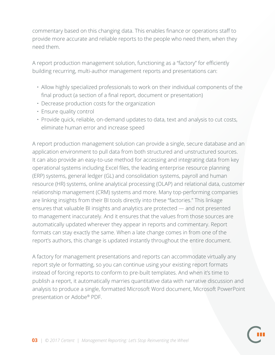commentary based on this changing data. This enables finance or operations staff to provide more accurate and reliable reports to the people who need them, when they need them.

A report production management solution, functioning as a "factory" for efficiently building recurring, multi-author management reports and presentations can:

- Allow highly specialized professionals to work on their individual components of the final product (a section of a final report, document or presentation)
- Decrease production costs for the organization
- Ensure quality control
- Provide quick, reliable, on-demand updates to data, text and analysis to cut costs, eliminate human error and increase speed

A report production management solution can provide a single, secure database and an application environment to pull data from both structured and unstructured sources. It can also provide an easy-to-use method for accessing and integrating data from key operational systems including Excel files, the leading enterprise resource planning (ERP) systems, general ledger (GL) and consolidation systems, payroll and human resource (HR) systems, online analytical processing (OLAP) and relational data, customer relationship management (CRM) systems and more. Many top-performing companies are linking insights from their BI tools directly into these "factories." This linkage ensures that valuable BI insights and analytics are protected — and not presented to management inaccurately. And it ensures that the values from those sources are automatically updated wherever they appear in reports and commentary. Report formats can stay exactly the same. When a late change comes in from one of the report's authors, this change is updated instantly throughout the entire document.

A factory for management presentations and reports can accommodate virtually any report style or formatting, so you can continue using your existing report formats instead of forcing reports to conform to pre-built templates. And when it's time to publish a report, it automatically marries quantitative data with narrative discussion and analysis to produce a single, formatted Microsoft Word document, Microsoft PowerPoint presentation or Adobe® PDF.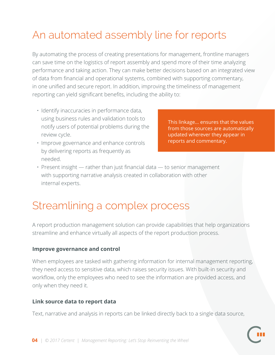# An automated assembly line for reports

By automating the process of creating presentations for management, frontline managers can save time on the logistics of report assembly and spend more of their time analyzing performance and taking action. They can make better decisions based on an integrated view of data from financial and operational systems, combined with supporting commentary, in one unified and secure report. In addition, improving the timeliness of management reporting can yield significant benefits, including the ability to:

- Identify inaccuracies in performance data, using business rules and validation tools to notify users of potential problems during the review cycle.
- Improve governance and enhance controls by delivering reports as frequently as needed.

This linkage... ensures that the values from those sources are automatically updated wherever they appear in reports and commentary.

• Present insight — rather than just financial data — to senior management with supporting narrative analysis created in collaboration with other internal experts.

## Streamlining a complex process

A report production management solution can provide capabilities that help organizations streamline and enhance virtually all aspects of the report production process.

#### **Improve governance and control**

When employees are tasked with gathering information for internal management reporting, they need access to sensitive data, which raises security issues. With built-in security and workflow, only the employees who need to see the information are provided access, and only when they need it.

#### **Link source data to report data**

Text, narrative and analysis in reports can be linked directly back to a single data source,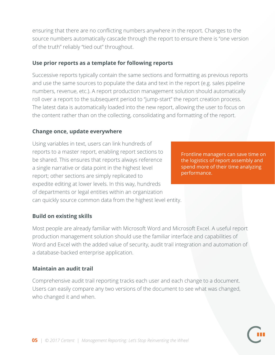ensuring that there are no conflicting numbers anywhere in the report. Changes to the source numbers automatically cascade through the report to ensure there is "one version of the truth" reliably "tied out" throughout.

#### **Use prior reports as a template for following reports** Ĩ

Successive reports typically contain the same sections and formatting as previous reports and use the same sources to populate the data and text in the report (e.g. sales pipeline numbers, revenue, etc.). A report production management solution should automatically roll over a report to the subsequent period to "jump-start" the report creation process. The latest data is automatically loaded into the new report, allowing the user to focus on the content rather than on the collecting, consolidating and formatting of the report.

#### **Change once, update everywhere**

Using variables in text, users can link hundreds of reports to a master report, enabling report sections to be shared. This ensures that reports always reference a single narrative or data point in the highest level report; other sections are simply replicated to expedite editing at lower levels. In this way, hundreds of departments or legal entities within an organization can quickly source common data from the highest level entity.

Frontline managers can save time on the logistics of report assembly and spend more of their time analyzing performance.

#### **Build on existing skills**

Most people are already familiar with Microsoft Word and Microsoft Excel. A useful report production management solution should use the familiar interface and capabilities of Word and Excel with the added value of security, audit trail integration and automation of a database-backed enterprise application.

#### **Maintain an audit trail**

Comprehensive audit trail reporting tracks each user and each change to a document. Users can easily compare any two versions of the document to see what was changed, who changed it and when.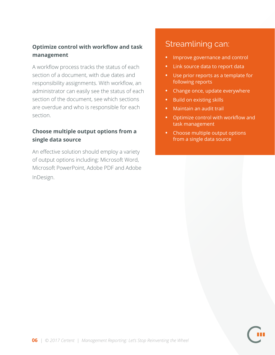#### **Optimize control with workflow and task management**

A workflow process tracks the status of each section of a document, with due dates and responsibility assignments. With workflow, an administrator can easily see the status of each section of the document, see which sections are overdue and who is responsible for each section.

#### **Choose multiple output options from a single data source**

An effective solution should employ a variety of output options including: Microsoft Word, Microsoft PowerPoint, Adobe PDF and Adobe InDesign.

### Streamlining can:

- **•** Improve governance and control
- **•** Link source data to report data
- **•** Use prior reports as a template for following reports
- **•** Change once, update everywhere
- **•** Build on existing skills
- **•** Maintain an audit trail
- **•** Optimize control with workflow and task management
- **•** Choose multiple output options from a single data source